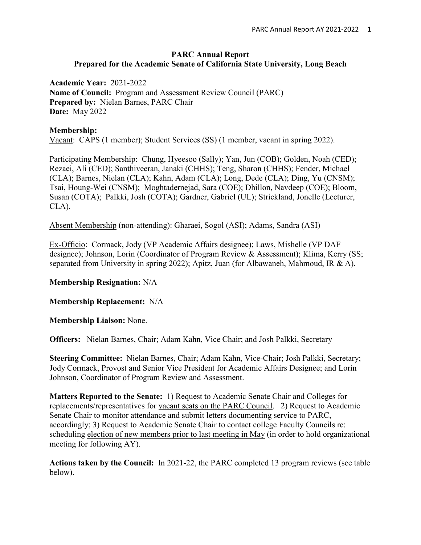#### **PARC Annual Report Prepared for the Academic Senate of California State University, Long Beach**

**Academic Year:** 2021-2022 **Name of Council:** Program and Assessment Review Council (PARC) **Prepared by:** Nielan Barnes, PARC Chair **Date:** May 2022

### **Membership:**

Vacant: CAPS (1 member); Student Services (SS) (1 member, vacant in spring 2022).

Participating Membership: Chung, Hyeesoo (Sally); Yan, Jun (COB); Golden, Noah (CED); Rezaei, Ali (CED); Santhiveeran, Janaki (CHHS); Teng, Sharon (CHHS); Fender, Michael (CLA); Barnes, Nielan (CLA); Kahn, Adam (CLA); Long, Dede (CLA); Ding, Yu (CNSM); Tsai, Houng-Wei (CNSM); Moghtadernejad, Sara (COE); Dhillon, Navdeep (COE); Bloom, Susan (COTA); Palkki, Josh (COTA); Gardner, Gabriel (UL); Strickland, Jonelle (Lecturer, CLA).

Absent Membership (non-attending): Gharaei, Sogol (ASI); Adams, Sandra (ASI)

Ex-Officio: Cormack, Jody (VP Academic Affairs designee); Laws, Mishelle (VP DAF designee); Johnson, Lorin (Coordinator of Program Review & Assessment); Klima, Kerry (SS; separated from University in spring 2022); Apitz, Juan (for Albawaneh, Mahmoud, IR & A).

#### **Membership Resignation:** N/A

**Membership Replacement:** N/A

**Membership Liaison:** None.

**Officers:** Nielan Barnes, Chair; Adam Kahn, Vice Chair; and Josh Palkki, Secretary

**Steering Committee:** Nielan Barnes, Chair; Adam Kahn, Vice-Chair; Josh Palkki, Secretary; Jody Cormack, Provost and Senior Vice President for Academic Affairs Designee; and Lorin Johnson, Coordinator of Program Review and Assessment.

**Matters Reported to the Senate:** 1) Request to Academic Senate Chair and Colleges for replacements/representatives for vacant seats on the PARC Council. 2) Request to Academic Senate Chair to monitor attendance and submit letters documenting service to PARC, accordingly; 3) Request to Academic Senate Chair to contact college Faculty Councils re: scheduling election of new members prior to last meeting in May (in order to hold organizational meeting for following AY).

**Actions taken by the Council:** In 2021-22, the PARC completed 13 program reviews (see table below).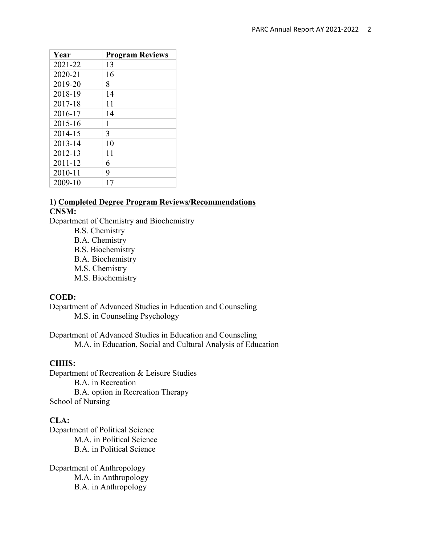| Year    | <b>Program Reviews</b> |
|---------|------------------------|
| 2021-22 | 13                     |
| 2020-21 | 16                     |
| 2019-20 | 8                      |
| 2018-19 | 14                     |
| 2017-18 | 11                     |
| 2016-17 | 14                     |
| 2015-16 | 1                      |
| 2014-15 | 3                      |
| 2013-14 | 10                     |
| 2012-13 | 11                     |
| 2011-12 | 6                      |
| 2010-11 | 9                      |
| 2009-10 | 17                     |

### **1) Completed Degree Program Reviews/Recommendations CNSM:**

Department of Chemistry and Biochemistry

- B.S. Chemistry
- B.A. Chemistry
- B.S. Biochemistry
- B.A. Biochemistry
- M.S. Chemistry
- M.S. Biochemistry

#### **COED:**

Department of Advanced Studies in Education and Counseling M.S. in Counseling Psychology

Department of Advanced Studies in Education and Counseling M.A. in Education, Social and Cultural Analysis of Education

#### **CHHS:**

Department of Recreation & Leisure Studies B.A. in Recreation B.A. option in Recreation Therapy School of Nursing

## **CLA:**

Department of Political Science M.A. in Political Science B.A. in Political Science

Department of Anthropology M.A. in Anthropology B.A. in Anthropology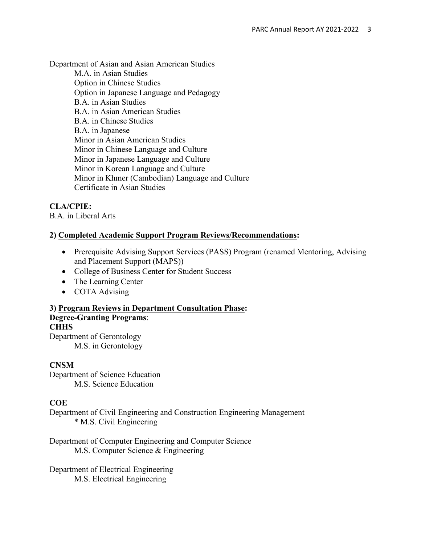Department of Asian and Asian American Studies

M.A. in Asian Studies Option in Chinese Studies Option in Japanese Language and Pedagogy B.A. in Asian Studies B.A. in Asian American Studies B.A. in Chinese Studies B.A. in Japanese Minor in Asian American Studies Minor in Chinese Language and Culture Minor in Japanese Language and Culture Minor in Korean Language and Culture Minor in Khmer (Cambodian) Language and Culture Certificate in Asian Studies

## **CLA/CPIE:**

B.A. in Liberal Arts

## **2) Completed Academic Support Program Reviews/Recommendations:**

- Prerequisite Advising Support Services (PASS) Program (renamed Mentoring, Advising and Placement Support (MAPS))
- College of Business Center for Student Success
- The Learning Center
- COTA Advising

**3) Program Reviews in Department Consultation Phase: Degree-Granting Programs**: **CHHS** 

Department of Gerontology M.S. in Gerontology

## **CNSM**

Department of Science Education M.S. Science Education

## **COE**

Department of Civil Engineering and Construction Engineering Management \* M.S. Civil Engineering

Department of Computer Engineering and Computer Science M.S. Computer Science & Engineering

Department of Electrical Engineering M.S. Electrical Engineering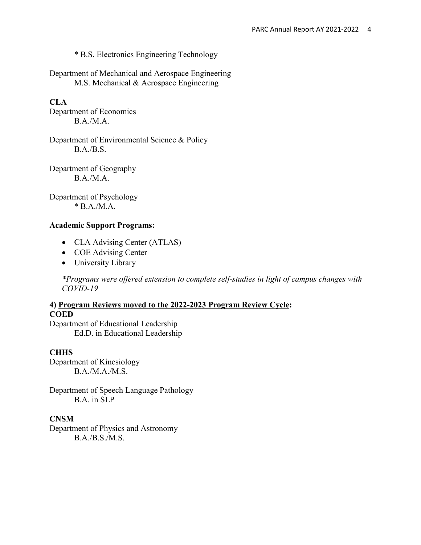\* B.S. Electronics Engineering Technology

Department of Mechanical and Aerospace Engineering M.S. Mechanical & Aerospace Engineering

## **CLA**

Department of Economics B.A./M.A.

Department of Environmental Science & Policy B.A./B.S.

Department of Geography B.A./M.A.

Department of Psychology  $*$  B.A./M.A.

#### **Academic Support Programs:**

- CLA Advising Center (ATLAS)
- COE Advising Center
- University Library

*\*Programs were offered extension to complete self-studies in light of campus changes with COVID-19*

# **4) Program Reviews moved to the 2022-2023 Program Review Cycle: COED**

Department of Educational Leadership Ed.D. in Educational Leadership

### **CHHS**

Department of Kinesiology B.A./M.A./M.S.

Department of Speech Language Pathology B.A. in SLP

#### **CNSM**

Department of Physics and Astronomy B.A./B.S./M.S.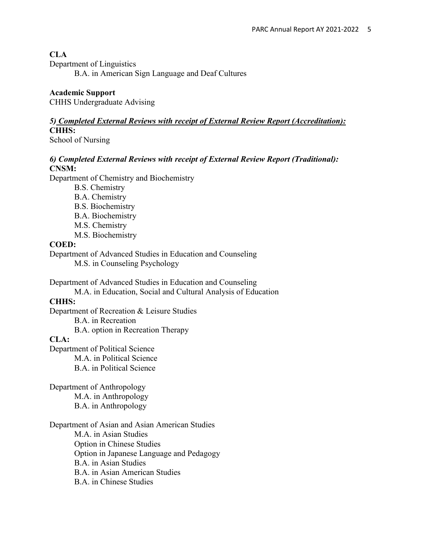### **CLA**

Department of Linguistics

B.A. in American Sign Language and Deaf Cultures

#### **Academic Support**

CHHS Undergraduate Advising

## *5) Completed External Reviews with receipt of External Review Report (Accreditation):*  **CHHS:**

School of Nursing

### *6) Completed External Reviews with receipt of External Review Report (Traditional):*  **CNSM:**

Department of Chemistry and Biochemistry

- B.S. Chemistry B.A. Chemistry B.S. Biochemistry B.A. Biochemistry
- M.S. Chemistry
- M.S. Biochemistry

#### **COED:**

Department of Advanced Studies in Education and Counseling M.S. in Counseling Psychology

Department of Advanced Studies in Education and Counseling

M.A. in Education, Social and Cultural Analysis of Education

## **CHHS:**

Department of Recreation & Leisure Studies B.A. in Recreation

B.A. option in Recreation Therapy

## **CLA:**

Department of Political Science M.A. in Political Science B.A. in Political Science

Department of Anthropology M.A. in Anthropology B.A. in Anthropology

#### Department of Asian and Asian American Studies M.A. in Asian Studies Option in Chinese Studies Option in Japanese Language and Pedagogy B.A. in Asian Studies B.A. in Asian American Studies

B.A. in Chinese Studies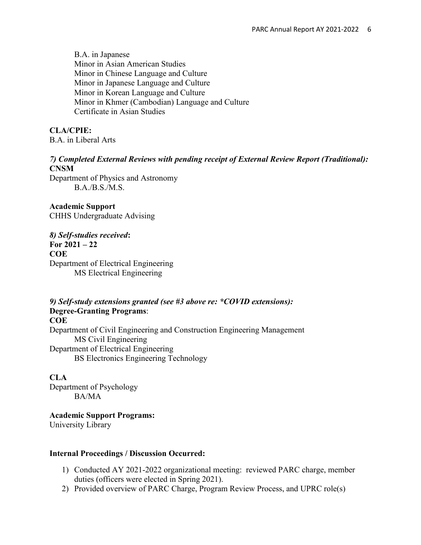B.A. in Japanese Minor in Asian American Studies Minor in Chinese Language and Culture Minor in Japanese Language and Culture Minor in Korean Language and Culture Minor in Khmer (Cambodian) Language and Culture Certificate in Asian Studies

## **CLA/CPIE:**

B.A. in Liberal Arts

### *7) Completed External Reviews with pending receipt of External Review Report (Traditional):* **CNSM**

Department of Physics and Astronomy B.A./B.S./M.S.

**Academic Support** CHHS Undergraduate Advising

*8) Self-studies received***: For 2021 – 22 COE** Department of Electrical Engineering MS Electrical Engineering

*9) Self-study extensions granted (see #3 above re: \*COVID extensions):*  **Degree-Granting Programs**: **COE** Department of Civil Engineering and Construction Engineering Management MS Civil Engineering Department of Electrical Engineering BS Electronics Engineering Technology

#### **CLA**

Department of Psychology BA/MA

**Academic Support Programs:**  University Library

#### **Internal Proceedings / Discussion Occurred:**

- 1) Conducted AY 2021-2022 organizational meeting: reviewed PARC charge, member duties (officers were elected in Spring 2021).
- 2) Provided overview of PARC Charge, Program Review Process, and UPRC role(s)